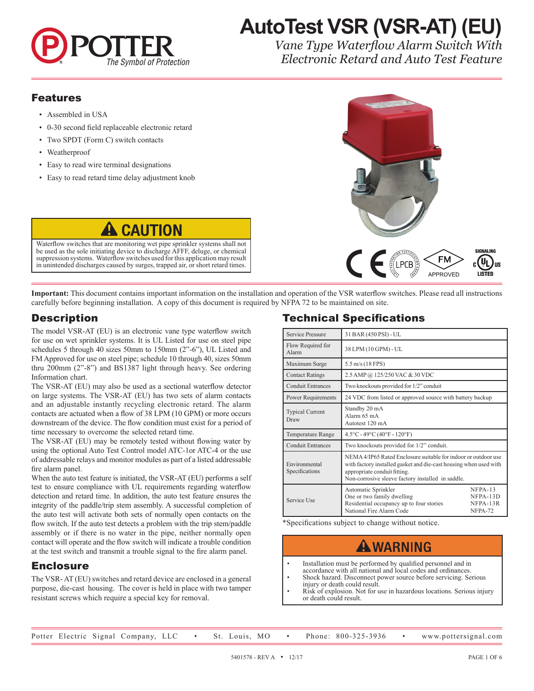

# **AutoTest VSR (VSR-AT) (EU)**

*Vane Type Waterflow Alarm Switch With Electronic Retard and Auto Test Feature*

#### Features

- Assembled in USA
- 0-30 second field replaceable electronic retard
- Two SPDT (Form C) switch contacts
- Weatherproof
- Easy to read wire terminal designations
- Easy to read retard time delay adjustment knob



**Important:** This document contains important information on the installation and operation of the VSR waterflow switches. Please read all instructions carefully before beginning installation. A copy of this document is required by NFPA 72 to be maintained on site.

#### **Description**

The model VSR-AT (EU) is an electronic vane type waterflow switch for use on wet sprinkler systems. It is UL Listed for use on steel pipe schedules 5 through 40 sizes 50mm to 150mm (2"-6"), UL Listed and FM Approved for use on steel pipe; schedule 10 through 40, sizes 50mm thru 200mm (2"-8") and BS1387 light through heavy. See ordering Information chart.

Waterflow switches that are monitoring wet pipe sprinkler systems shall not be used as the sole initiating device to discharge AFFF, deluge, or chemical suppression systems. Waterflow switches used for this application may result in unintended discharges caused by surges, trapped air, or short retard times.

**CAUTION** 

The VSR-AT (EU) may also be used as a sectional waterflow detector on large systems. The VSR-AT (EU) has two sets of alarm contacts and an adjustable instantly recycling electronic retard. The alarm contacts are actuated when a flow of 38 LPM (10 GPM) or more occurs downstream of the device. The flow condition must exist for a period of time necessary to overcome the selected retard time.

The VSR-AT (EU) may be remotely tested without flowing water by using the optional Auto Test Control model ATC-1or ATC-4 or the use of addressable relays and monitor modules as part of a listed addressable fire alarm panel.

When the auto test feature is initiated, the VSR-AT (EU) performs a self test to ensure compliance with UL requirements regarding waterflow detection and retard time. In addition, the auto test feature ensures the integrity of the paddle/trip stem assembly. A successful completion of the auto test will activate both sets of normally open contacts on the flow switch. If the auto test detects a problem with the trip stem/paddle assembly or if there is no water in the pipe, neither normally open contact will operate and the flow switch will indicate a trouble condition at the test switch and transmit a trouble signal to the fire alarm panel.

#### Enclosure

The VSR- AT (EU) switches and retard device are enclosed in a general purpose, die-cast housing. The cover is held in place with two tamper resistant screws which require a special key for removal.

#### Technical Specifications

| Service Pressure                                                                            | 31 BAR (450 PSI) - UL                                                                                                     |                                                                                                                                     |  |  |  |  |
|---------------------------------------------------------------------------------------------|---------------------------------------------------------------------------------------------------------------------------|-------------------------------------------------------------------------------------------------------------------------------------|--|--|--|--|
| Flow Required for<br>Alarm                                                                  | 38 LPM (10 GPM) - UL                                                                                                      |                                                                                                                                     |  |  |  |  |
| Maximum Surge                                                                               | 5.5 m/s (18 FPS)                                                                                                          |                                                                                                                                     |  |  |  |  |
| <b>Contact Ratings</b>                                                                      | 2.5 AMP @ 125/250 VAC & 30 VDC                                                                                            |                                                                                                                                     |  |  |  |  |
| <b>Conduit Entrances</b>                                                                    | Two knockouts provided for 1/2" conduit                                                                                   |                                                                                                                                     |  |  |  |  |
| 24 VDC from listed or approved source with battery backup<br>Power Requirements             |                                                                                                                           |                                                                                                                                     |  |  |  |  |
| <b>Typical Current</b><br>Draw                                                              | Standby 20 mA<br>Alarm 65 mA<br>Autotest 120 mA                                                                           |                                                                                                                                     |  |  |  |  |
| $4.5^{\circ}$ C - 49 $^{\circ}$ C (40 $^{\circ}$ F - 120 $^{\circ}$ F)<br>Temperature Range |                                                                                                                           |                                                                                                                                     |  |  |  |  |
| <b>Conduit Entrances</b>                                                                    | Two knockouts provided for 1/2" conduit.                                                                                  |                                                                                                                                     |  |  |  |  |
| Environmental<br>Specifications                                                             | appropriate conduit fitting.<br>Non-corrosive sleeve factory installed in saddle.                                         | NEMA 4/IP65 Rated Enclosure suitable for indoor or outdoor use<br>with factory installed gasket and die-cast housing when used with |  |  |  |  |
| Service Use                                                                                 | Automatic Sprinkler<br>One or two family dwelling<br>Residential occupancy up to four stories<br>National Fire Alarm Code | $NFPA-13$<br>NFPA-13D<br>NFPA-13R<br>NFPA-72                                                                                        |  |  |  |  |

\*Specifications subject to change without notice.

## **A WARNING**

- Installation must be performed by qualified personnel and in accordance with all national and local codes and ordinances.
- Shock hazard. Disconnect power source before servicing. Serious injury or death could result.
- Risk of explosion. Not for use in hazardous locations. Serious injury or death could result.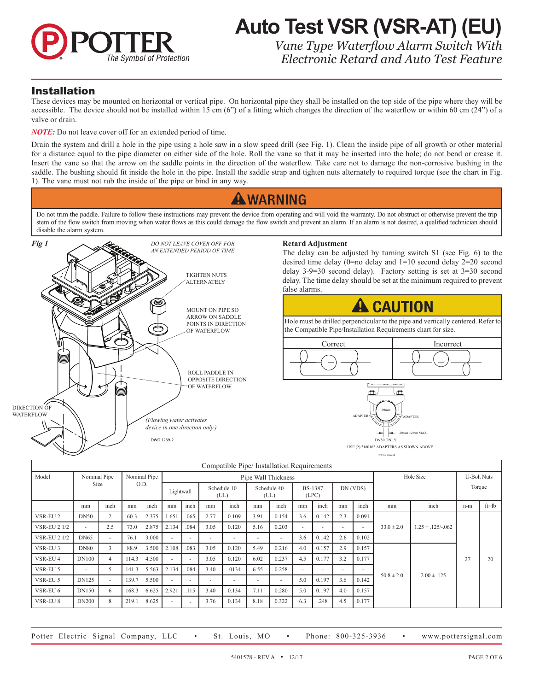

## **Auto Test VSR (VSR-AT) (EU)** *Vane Type Waterflow Alarm Switch With*

*Electronic Retard and Auto Test Feature*

#### Installation

These devices may be mounted on horizontal or vertical pipe. On horizontal pipe they shall be installed on the top side of the pipe where they will be accessible. The device should not be installed within 15 cm  $(6")$  of a fitting which changes the direction of the waterflow or within 60 cm  $(24")$  of a valve or drain.

*NOTE:* Do not leave cover off for an extended period of time.

Drain the system and drill a hole in the pipe using a hole saw in a slow speed drill (see Fig. 1). Clean the inside pipe of all growth or other material for a distance equal to the pipe diameter on either side of the hole. Roll the vane so that it may be inserted into the hole; do not bend or crease it. Insert the vane so that the arrow on the saddle points in the direction of the waterflow. Take care not to damage the non-corrosive bushing in the saddle. The bushing should fit inside the hole in the pipe. Install the saddle strap and tighten nuts alternately to required torque (see the chart in Fig. 1). The vane must not rub the inside of the pipe or bind in any way.

### **A WARNING**

Do not trim the paddle. Failure to follow these instructions may prevent the device from operating and will void the warranty. Do not obstruct or otherwise prevent the trip stem of the flow switch from moving when water flows as this could damage the flow switch and prevent an alarm. If an alarm is not desired, a qualified technician should disable the alarm system.



| Compatible Pipe/ Installation Requirements |                              |        |       |       |                          |                          |                          |                     |                     |                          |                          |                          |                         |       |                |                        |     |           |        |  |
|--------------------------------------------|------------------------------|--------|-------|-------|--------------------------|--------------------------|--------------------------|---------------------|---------------------|--------------------------|--------------------------|--------------------------|-------------------------|-------|----------------|------------------------|-----|-----------|--------|--|
| Model                                      | Nominal Pipe<br>Nominal Pipe |        |       |       |                          |                          |                          | Pipe Wall Thickness |                     | Hole Size                |                          | <b>U-Bolt Nuts</b>       |                         |       |                |                        |     |           |        |  |
|                                            |                              | Size   |       | O.D.  |                          |                          | Lightwall                |                     | Schedule 10<br>(UL) |                          | Schedule 40<br>(UL)      |                          | <b>BS-1387</b><br>(LPC) |       | DN (VDS)       |                        |     |           | Torque |  |
|                                            | mm                           | inch   | mm    | inch  | mm                       | inch                     | mm                       | inch                | mm                  | inch                     | mm                       | inch                     | mm                      | inch  | mm             | inch                   | n-m | $ft = lb$ |        |  |
| VSR-EU <sub>2</sub>                        | <b>DN50</b>                  | 2      | 60.3  | 2.375 | 1.651                    | .065                     | 2.77                     | 0.109               | 3.91                | 0.154                    | 3.6                      | 0.142                    | 2.3                     | 0.091 | $33.0 \pm 2.0$ | $1.25 + 0.125 - 0.062$ | 27  | 20        |        |  |
| <b>VSR-EU 2 1/2</b>                        | ٠                            | 2.5    | 73.0  | 2.875 | 2.134                    | .084                     | 3.05                     | 0.120               | 5.16                | 0.203                    | $\overline{\phantom{a}}$ | $\overline{\phantom{a}}$ | ٠                       |       |                |                        |     |           |        |  |
| <b>VSR-EU 2 1/2</b>                        | <b>DN65</b>                  | $\sim$ | 76.1  | 3.000 | $\overline{\phantom{a}}$ | $\overline{\phantom{a}}$ | $\overline{\phantom{a}}$ | ۰                   | ٠                   | $\overline{\phantom{a}}$ | 3.6                      | 0.142                    | 2.6                     | 0.102 |                |                        |     |           |        |  |
| VSR-EU <sub>3</sub>                        | <b>DN80</b>                  | 3      | 88.9  | 3.500 | 2.108                    | .083                     | 3.05                     | 0.120               | 5.49                | 0.216                    | 4.0                      | 0.157                    | 2.9                     | 0.157 | $50.8 \pm 2.0$ | $2.00 \pm .125$        |     |           |        |  |
| VSR-EU 4                                   | <b>DN100</b>                 | 4      | 114.3 | 4.500 | $\sim$                   | $\overline{\phantom{a}}$ | 3.05                     | 0.120               | 6.02                | 0.237                    | 4.5                      | 0.177                    | 3.2                     | 0.177 |                |                        |     |           |        |  |
| VSR-EU 5                                   | ٠                            | 5      | 141.3 | 5.563 | 2.134                    | .084                     | 3.40                     | .0134               | 6.55                | 0.258                    | $\overline{\phantom{a}}$ | $\overline{\phantom{a}}$ |                         | ۰     |                |                        |     |           |        |  |
| VSR-EU 5                                   | <b>DN125</b>                 | $\sim$ | 139.7 | 5.500 | $\sim$                   | $\overline{\phantom{a}}$ | $\overline{\phantom{a}}$ | ٠                   | $\sim$              | $\overline{\phantom{a}}$ | 5.0                      | 0.197                    | 3.6                     | 0.142 |                |                        |     |           |        |  |
| VSR-EU 6                                   | <b>DN150</b>                 | 6      | 168.3 | 6.625 | 2.921                    | .115                     | 3.40                     | 0.134               | 7.11                | 0.280                    | 5.0                      | 0.197                    | 4.0                     | 0.157 |                |                        |     |           |        |  |
| VSR-EU 8                                   | <b>DN200</b>                 | 8      | 219.1 | 8.625 | $\overline{\phantom{a}}$ |                          | 3.76                     | 0.134               | 8.18                | 0.322                    | 6.3                      | .248                     | 4.5                     | 0.177 |                |                        |     |           |        |  |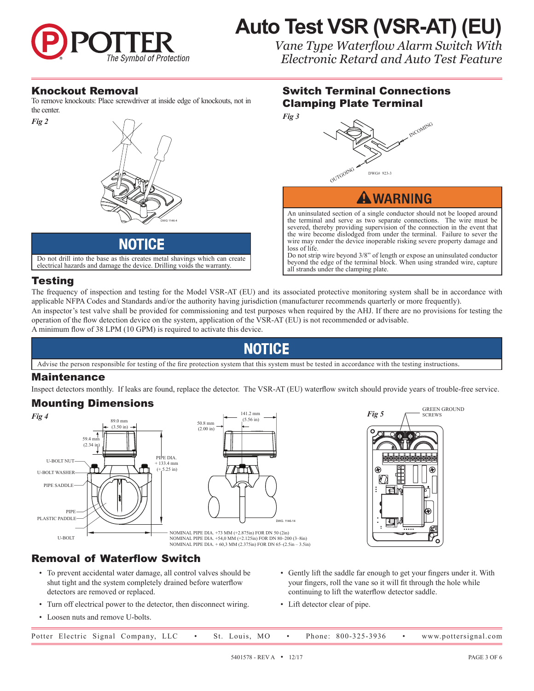

## **Auto Test VSR (VSR-AT) (EU)**

Switch Terminal Connections

DWG# 923-3

An uninsulated section of a single conductor should not be looped around the terminal and serve as two separate connections. The wire must be severed, thereby providing supervision of the connection in the event that the wire become dislodged from under the terminal. Failure to sever the wire may render the device inoperable risking severe property damage and

**AWARNING** 

Do not strip wire beyond 3/8" of length or expose an uninsulated conductor beyond the edge of the terminal block. When using stranded wire, capture

Clamping Plate Terminal

OUTGOING

all strands under the clamping plate.

*Vane Type Waterflow Alarm Switch With Electronic Retard and Auto Test Feature*

INCOMING

#### Knockout Removal

To remove knockouts: Place screwdriver at inside edge of knockouts, not in the center.



Do not drill into the base as this creates metal shavings which can create electrical hazards and damage the device. Drilling voids the warranty.

#### Testing

The frequency of inspection and testing for the Model VSR-AT (EU) and its associated protective monitoring system shall be in accordance with applicable NFPA Codes and Standards and/or the authority having jurisdiction (manufacturer recommends quarterly or more frequently).

loss of life.

An inspector's test valve shall be provided for commissioning and test purposes when required by the AHJ. If there are no provisions for testing the operation of the flow detection device on the system, application of the VSR-AT (EU) is not recommended or advisable.

A minimum flow of 38 LPM (10 GPM) is required to activate this device.

## NOTICE

Advise the person responsible for testing of the fire protection system that this system must be tested in accordance with the testing instructions.

#### Maintenance

Inspect detectors monthly. If leaks are found, replace the detector. The VSR-AT (EU) waterflow switch should provide years of trouble-free service.

#### Mounting Dimensions



#### Removal of Waterflow Switch

- To prevent accidental water damage, all control valves should be shut tight and the system completely drained before waterflow detectors are removed or replaced.
- Turn off electrical power to the detector, then disconnect wiring.
- Loosen nuts and remove U-bolts.



- Gently lift the saddle far enough to get your fingers under it. With your fingers, roll the vane so it will fit through the hole while continuing to lift the waterflow detector saddle.
- Lift detector clear of pipe.

|  | Potter Electric Signal Company, LLC |  | $\bullet$ St. Louis, MO $\bullet$ |  | Phone: 800-325-3936 | www.pottersignal.com |
|--|-------------------------------------|--|-----------------------------------|--|---------------------|----------------------|
|  |                                     |  |                                   |  |                     |                      |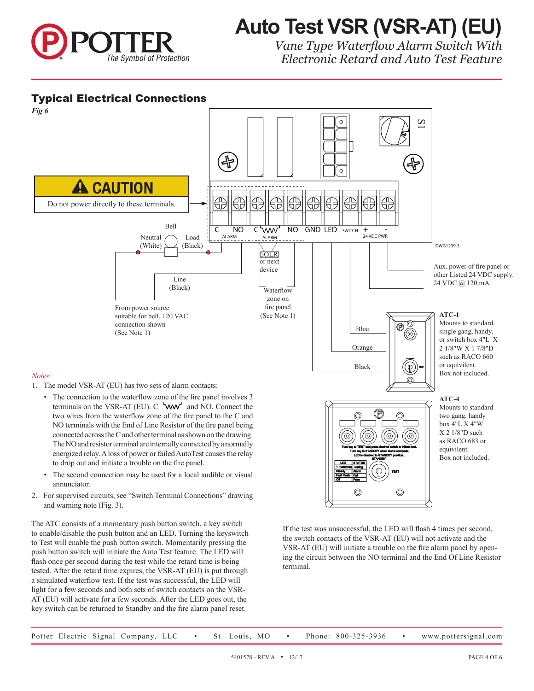

# **Auto Test VSR (VSR-AT) (EU)**

*Vane Type Waterflow Alarm Switch With Electronic Retard and Auto Test Feature*

#### Typical Electrical Connections



- 1. The model VSR-AT (EU) has two sets of alarm contacts:
	- The connection to the waterflow zone of the fire panel involves 3 terminals on the VSR-AT (EU).  $C$  'ww' and NO. Connect the two wires from the waterflow zone of the fire panel to the C and NO terminals with the End of Line Resistor of the fire panel being connected across the C and other terminal as shown on the drawing. C The NO and resistor terminal are internally connected by a normally energized relay. A loss of power or failed AutoTest causes the relay to drop out and initiate a trouble on the fire panel.
	- The second connection may be used for a local audible or visual annunciator.
- 2. For supervised circuits, see "Switch Terminal Connections" drawing and warning note (Fig. 3).

The ATC consists of a momentary push button switch, a key switch to enable/disable the push button and an LED. Turning the keyswitch to Test will enable the push button switch. Momentarily pressing the push button switch will initiate the Auto Test feature. The LED will flash once per second during the test while the retard time is being tested. After the retard time expires, the VSR-AT (EU) is put through a simulated waterflow test. If the test was successful, the LED will light for a few seconds and both sets of switch contacts on the VSR-AT (EU) will activate for a few seconds. After the LED goes out, the key switch can be returned to Standby and the fire alarm panel reset.



#### **ATC-4**

Mounts to standard two gang, handy box 4"L X 4"W X 2 1/8"D such as RACO 683 or equivilent. Box not included.

If the test was unsuccessful, the LED will flash 4 times per second, the switch contacts of the VSR-AT (EU) will not activate and the VSR-AT (EU) will initiate a trouble on the fire alarm panel by opening the circuit between the NO terminal and the End Of Line Resistor terminal.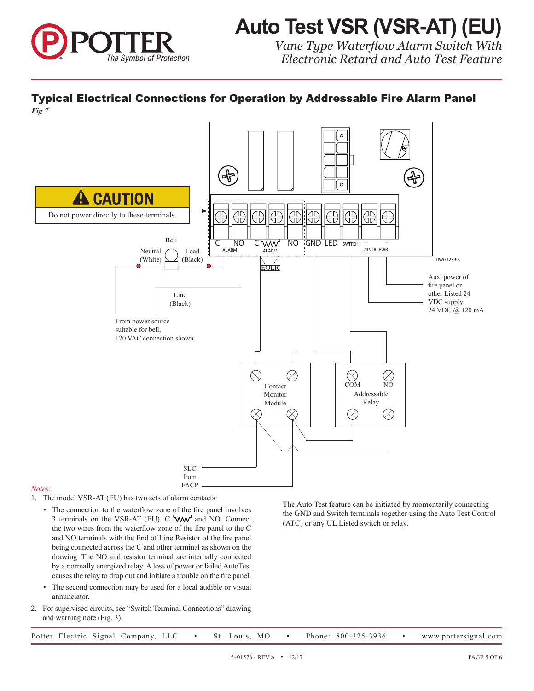

## **Auto Test VSR (VSR-AT) (EU)**

*Vane Type Waterflow Alarm Switch With Electronic Retard and Auto Test Feature*

#### Typical Electrical Connections for Operation by Addressable Fire Alarm Panel

*Fig 7*



#### *Notes:*

- 1. The model VSR-AT (EU) has two sets of alarm contacts:
	- The connection to the waterflow zone of the fire panel involves 3 terminals on the VSR-AT (EU).  $C$  **WW** and NO. Connect the two wires from the waterflow zone of the fire panel to the C and NO terminals with the End of Line Resistor of the fire panel being connected across the C and other terminal as shown on the drawing. The NO and resistor terminal are internally connected by a normally energized relay. A loss of power or failed AutoTest causes the relay to drop out and initiate a trouble on the fire panel.
	- The second connection may be used for a local audible or visual annunciator.
- 2. For supervised circuits, see "Switch Terminal Connections" drawing and warning note (Fig. 3).

The Auto Test feature can be initiated by momentarily connecting the GND and Switch terminals together using the Auto Test Control (ATC) or any UL Listed switch or relay.